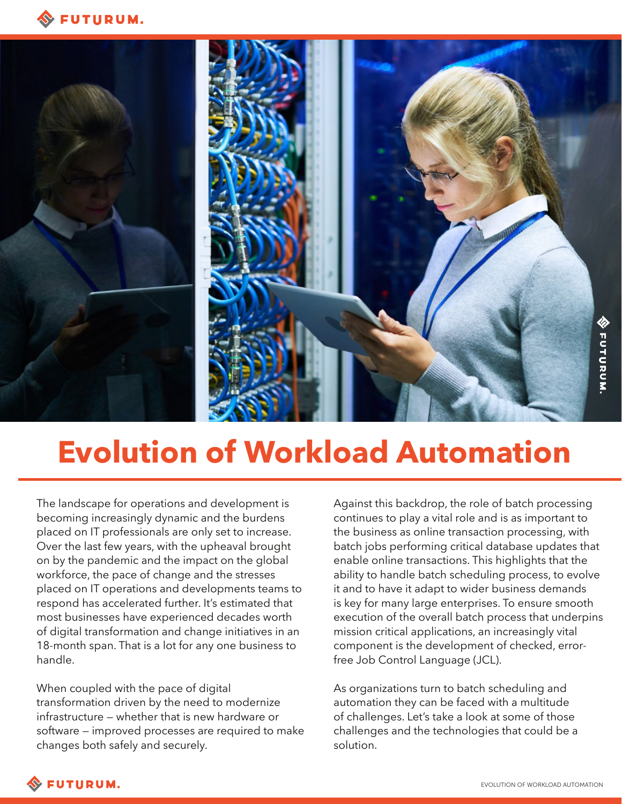



# **Evolution of Workload Automation**

The landscape for operations and development is becoming increasingly dynamic and the burdens placed on IT professionals are only set to increase. Over the last few years, with the upheaval brought on by the pandemic and the impact on the global workforce, the pace of change and the stresses placed on IT operations and developments teams to respond has accelerated further. It's estimated that most businesses have experienced decades worth of digital transformation and change initiatives in an 18-month span. That is a lot for any one business to handle.

When coupled with the pace of digital transformation driven by the need to modernize infrastructure — whether that is new hardware or software — improved processes are required to make changes both safely and securely.

Against this backdrop, the role of batch processing continues to play a vital role and is as important to the business as online transaction processing, with batch jobs performing critical database updates that enable online transactions. This highlights that the ability to handle batch scheduling process, to evolve it and to have it adapt to wider business demands is key for many large enterprises. To ensure smooth execution of the overall batch process that underpins mission critical applications, an increasingly vital component is the development of checked, errorfree Job Control Language (JCL).

As organizations turn to batch scheduling and automation they can be faced with a multitude of challenges. Let's take a look at some of those challenges and the technologies that could be a solution.

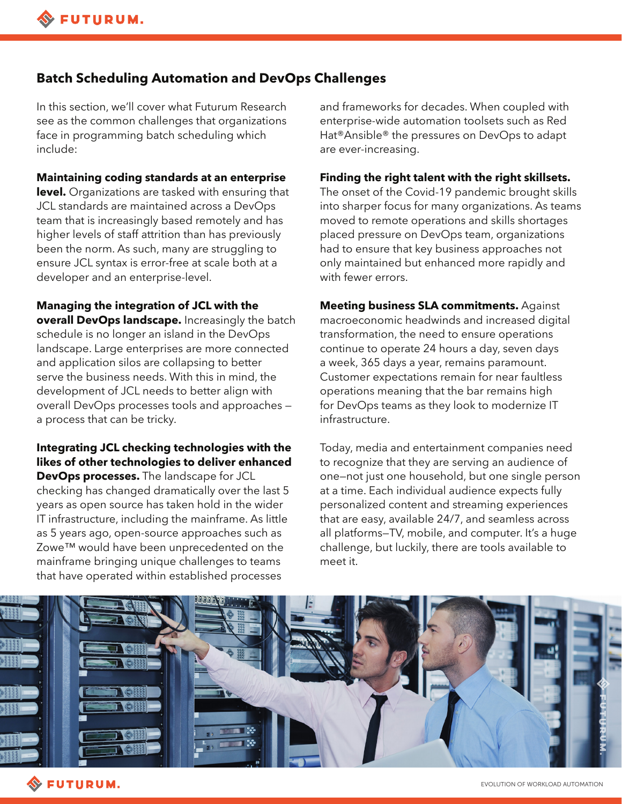## **Batch Scheduling Automation and DevOps Challenges**

In this section, we'll cover what Futurum Research see as the common challenges that organizations face in programming batch scheduling which include:

**Maintaining coding standards at an enterprise level.** Organizations are tasked with ensuring that JCL standards are maintained across a DevOps team that is increasingly based remotely and has higher levels of staff attrition than has previously been the norm. As such, many are struggling to ensure JCL syntax is error-free at scale both at a developer and an enterprise-level.

**Managing the integration of JCL with the overall DevOps landscape.** Increasingly the batch schedule is no longer an island in the DevOps landscape. Large enterprises are more connected and application silos are collapsing to better serve the business needs. With this in mind, the development of JCL needs to better align with overall DevOps processes tools and approaches a process that can be tricky.

#### **Integrating JCL checking technologies with the likes of other technologies to deliver enhanced**

**DevOps processes.** The landscape for JCL checking has changed dramatically over the last 5 years as open source has taken hold in the wider IT infrastructure, including the mainframe. As little as 5 years ago, open-source approaches such as Zowe™ would have been unprecedented on the mainframe bringing unique challenges to teams that have operated within established processes

and frameworks for decades. When coupled with enterprise-wide automation toolsets such as Red Hat®Ansible® the pressures on DevOps to adapt are ever-increasing.

#### **Finding the right talent with the right skillsets.**

The onset of the Covid-19 pandemic brought skills into sharper focus for many organizations. As teams moved to remote operations and skills shortages placed pressure on DevOps team, organizations had to ensure that key business approaches not only maintained but enhanced more rapidly and with fewer errors.

**Meeting business SLA commitments.** Against macroeconomic headwinds and increased digital transformation, the need to ensure operations continue to operate 24 hours a day, seven days a week, 365 days a year, remains paramount. Customer expectations remain for near faultless operations meaning that the bar remains high for DevOps teams as they look to modernize IT infrastructure.

Today, media and entertainment companies need to recognize that they are serving an audience of one—not just one household, but one single person at a time. Each individual audience expects fully personalized content and streaming experiences that are easy, available 24/7, and seamless across all platforms—TV, mobile, and computer. It's a huge challenge, but luckily, there are tools available to meet it.

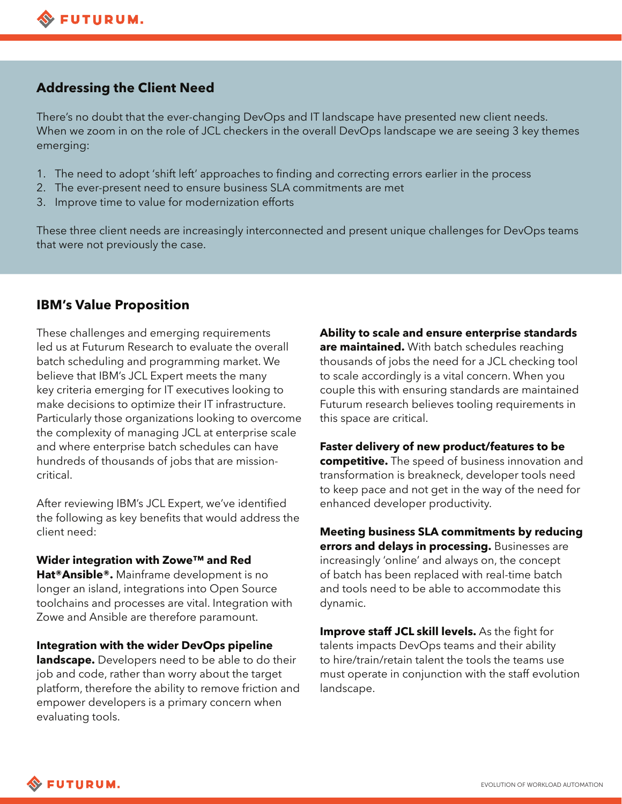# **Addressing the Client Need**

There's no doubt that the ever-changing DevOps and IT landscape have presented new client needs. When we zoom in on the role of JCL checkers in the overall DevOps landscape we are seeing 3 key themes emerging:

- 1. The need to adopt 'shift left' approaches to finding and correcting errors earlier in the process
- 2. The ever-present need to ensure business SLA commitments are met
- 3. Improve time to value for modernization efforts

These three client needs are increasingly interconnected and present unique challenges for DevOps teams that were not previously the case.

# **IBM's Value Proposition**

These challenges and emerging requirements led us at Futurum Research to evaluate the overall batch scheduling and programming market. We believe that IBM's JCL Expert meets the many key criteria emerging for IT executives looking to make decisions to optimize their IT infrastructure. Particularly those organizations looking to overcome the complexity of managing JCL at enterprise scale and where enterprise batch schedules can have hundreds of thousands of jobs that are missioncritical.

After reviewing IBM's JCL Expert, we've identified the following as key benefits that would address the client need:

#### **Wider integration with Zowe™ and Red**

**Hat®Ansible®.** Mainframe development is no longer an island, integrations into Open Source toolchains and processes are vital. Integration with Zowe and Ansible are therefore paramount.

**Integration with the wider DevOps pipeline landscape.** Developers need to be able to do their job and code, rather than worry about the target platform, therefore the ability to remove friction and empower developers is a primary concern when evaluating tools.

**Ability to scale and ensure enterprise standards are maintained.** With batch schedules reaching thousands of jobs the need for a JCL checking tool to scale accordingly is a vital concern. When you couple this with ensuring standards are maintained Futurum research believes tooling requirements in this space are critical.

**Faster delivery of new product/features to be competitive.** The speed of business innovation and transformation is breakneck, developer tools need to keep pace and not get in the way of the need for enhanced developer productivity.

**Meeting business SLA commitments by reducing errors and delays in processing.** Businesses are increasingly 'online' and always on, the concept of batch has been replaced with real-time batch and tools need to be able to accommodate this dynamic.

**Improve staff JCL skill levels.** As the fight for talents impacts DevOps teams and their ability to hire/train/retain talent the tools the teams use must operate in conjunction with the staff evolution landscape.